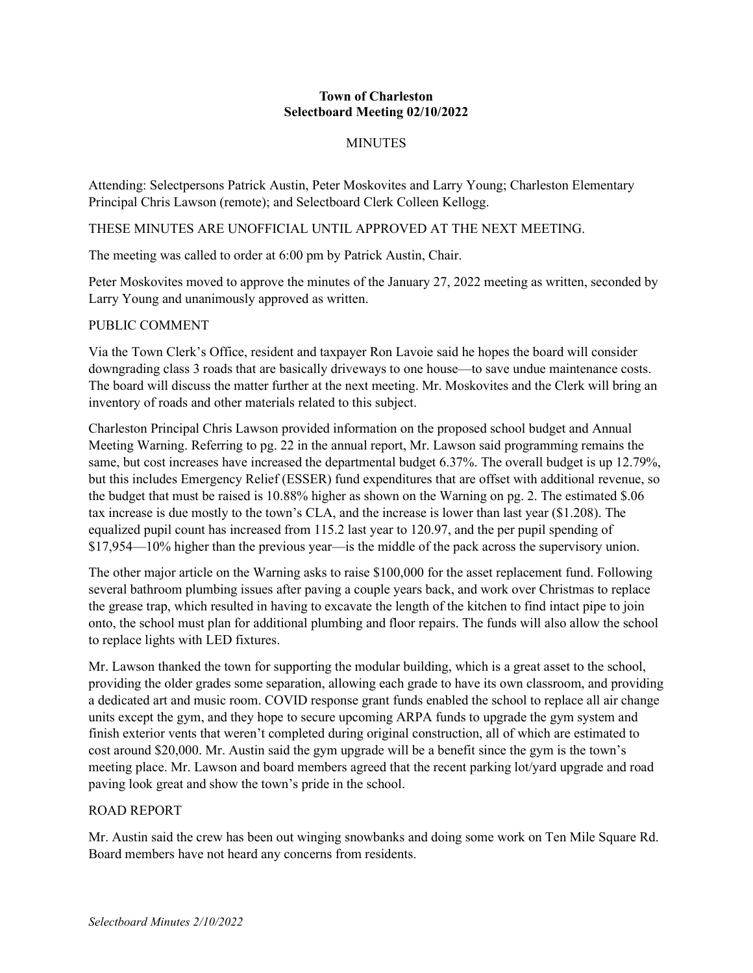#### **Town of Charleston Selectboard Meeting 02/10/2022**

# **MINUTES**

Attending: Selectpersons Patrick Austin, Peter Moskovites and Larry Young; Charleston Elementary Principal Chris Lawson (remote); and Selectboard Clerk Colleen Kellogg.

THESE MINUTES ARE UNOFFICIAL UNTIL APPROVED AT THE NEXT MEETING.

The meeting was called to order at 6:00 pm by Patrick Austin, Chair.

Peter Moskovites moved to approve the minutes of the January 27, 2022 meeting as written, seconded by Larry Young and unanimously approved as written.

# PUBLIC COMMENT

Via the Town Clerk's Office, resident and taxpayer Ron Lavoie said he hopes the board will consider downgrading class 3 roads that are basically driveways to one house—to save undue maintenance costs. The board will discuss the matter further at the next meeting. Mr. Moskovites and the Clerk will bring an inventory of roads and other materials related to this subject.

Charleston Principal Chris Lawson provided information on the proposed school budget and Annual Meeting Warning. Referring to pg. 22 in the annual report, Mr. Lawson said programming remains the same, but cost increases have increased the departmental budget 6.37%. The overall budget is up 12.79%, but this includes Emergency Relief (ESSER) fund expenditures that are offset with additional revenue, so the budget that must be raised is 10.88% higher as shown on the Warning on pg. 2. The estimated \$.06 tax increase is due mostly to the town's CLA, and the increase is lower than last year (\$1.208). The equalized pupil count has increased from 115.2 last year to 120.97, and the per pupil spending of \$17,954—10% higher than the previous year—is the middle of the pack across the supervisory union.

The other major article on the Warning asks to raise \$100,000 for the asset replacement fund. Following several bathroom plumbing issues after paving a couple years back, and work over Christmas to replace the grease trap, which resulted in having to excavate the length of the kitchen to find intact pipe to join onto, the school must plan for additional plumbing and floor repairs. The funds will also allow the school to replace lights with LED fixtures.

Mr. Lawson thanked the town for supporting the modular building, which is a great asset to the school, providing the older grades some separation, allowing each grade to have its own classroom, and providing a dedicated art and music room. COVID response grant funds enabled the school to replace all air change units except the gym, and they hope to secure upcoming ARPA funds to upgrade the gym system and finish exterior vents that weren't completed during original construction, all of which are estimated to cost around \$20,000. Mr. Austin said the gym upgrade will be a benefit since the gym is the town's meeting place. Mr. Lawson and board members agreed that the recent parking lot/yard upgrade and road paving look great and show the town's pride in the school.

### ROAD REPORT

Mr. Austin said the crew has been out winging snowbanks and doing some work on Ten Mile Square Rd. Board members have not heard any concerns from residents.